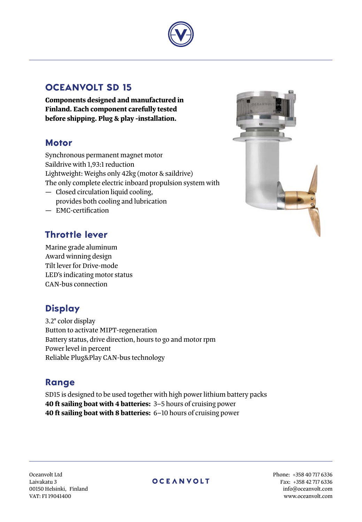

### **Oceanvolt SD 15**

**Components designed and manufactured in Finland. Each component carefully tested before shipping. Plug & play -installation.**

### **Motor**

Synchronous permanent magnet motor Saildrive with 1,93:1 reduction Lightweight: Weighs only 42kg (motor & saildrive) The only complete electric inboard propulsion system with — Closed circulation liquid cooling, provides both cooling and lubrication

— EMC-certification

## **Throttle lever**

Marine grade aluminum Award winning design Tilt lever for Drive-mode LED's indicating motor status CAN-bus connection

# **Display**

3.2" color display Button to activate MIPT-regeneration Battery status, drive direction, hours to go and motor rpm Power level in percent Reliable Plug&Play CAN-bus technology

## **Range**

SD15 is designed to be used together with high power lithium battery packs **40 ft sailing boat with 4 batteries:** 3–5 hours of cruising power **40 ft sailing boat with 8 batteries:** 6–10 hours of cruising power



Oceanvolt Ltd Laivakatu 3 00150 Helsinki, Finland VAT: FI 19041400

### **OCEANVOLT**

Phone: +358 40 717 6336 Fax: +358 42 717 6336 info@oceanvolt.com www.oceanvolt.com